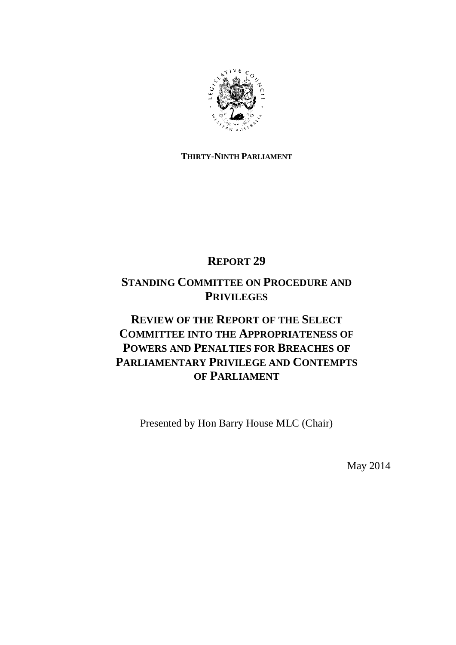

## **THIRTY-NINTH PARLIAMENT**

# **REPORT 29**

# **STANDING COMMITTEE ON PROCEDURE AND PRIVILEGES**

# **REVIEW OF THE REPORT OF THE SELECT COMMITTEE INTO THE APPROPRIATENESS OF POWERS AND PENALTIES FOR BREACHES OF PARLIAMENTARY PRIVILEGE AND CONTEMPTS OF PARLIAMENT**

Presented by Hon Barry House MLC (Chair)

May 2014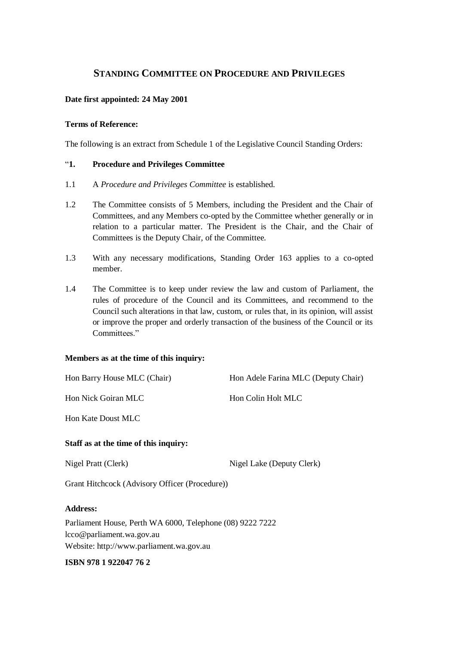## **STANDING COMMITTEE ON PROCEDURE AND PRIVILEGES**

#### **Date first appointed: 24 May 2001**

#### **Terms of Reference:**

The following is an extract from Schedule 1 of the Legislative Council Standing Orders:

#### "**1. Procedure and Privileges Committee**

- 1.1 A *Procedure and Privileges Committee* is established.
- 1.2 The Committee consists of 5 Members, including the President and the Chair of Committees, and any Members co-opted by the Committee whether generally or in relation to a particular matter. The President is the Chair, and the Chair of Committees is the Deputy Chair, of the Committee.
- 1.3 With any necessary modifications, Standing Order 163 applies to a co-opted member.
- 1.4 The Committee is to keep under review the law and custom of Parliament, the rules of procedure of the Council and its Committees, and recommend to the Council such alterations in that law, custom, or rules that, in its opinion, will assist or improve the proper and orderly transaction of the business of the Council or its Committees<sup>"</sup>

#### **Members as at the time of this inquiry:**

| Staff as at the time of this inquiry: |                                     |
|---------------------------------------|-------------------------------------|
| Hon Kate Doust MLC                    |                                     |
| Hon Nick Goiran MLC                   | Hon Colin Holt MLC                  |
| Hon Barry House MLC (Chair)           | Hon Adele Farina MLC (Deputy Chair) |

Nigel Pratt (Clerk) Nigel Lake (Deputy Clerk)

Grant Hitchcock (Advisory Officer (Procedure))

#### **Address:**

Parliament House, Perth WA 6000, Telephone (08) 9222 7222 lcco@parliament.wa.gov.au Website: http://www.parliament.wa.gov.au

#### **ISBN 978 1 922047 76 2**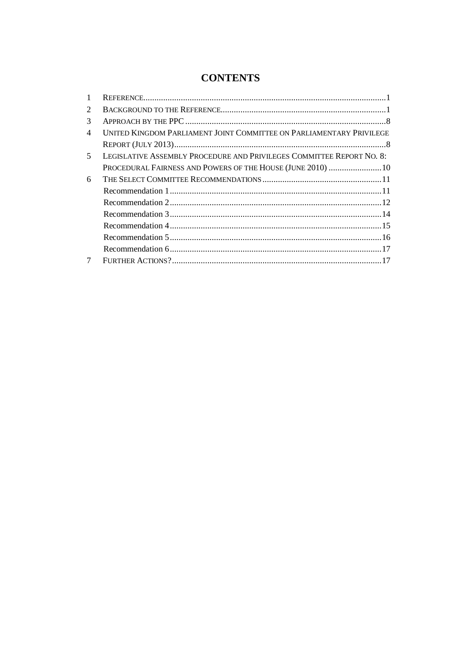## **CONTENTS**

| 1 |                                                                       |
|---|-----------------------------------------------------------------------|
| 2 |                                                                       |
| 3 |                                                                       |
| 4 | UNITED KINGDOM PARLIAMENT JOINT COMMITTEE ON PARLIAMENTARY PRIVILEGE  |
|   |                                                                       |
| 5 | LEGISLATIVE ASSEMBLY PROCEDURE AND PRIVILEGES COMMITTEE REPORT NO. 8: |
|   | PROCEDURAL FAIRNESS AND POWERS OF THE HOUSE (JUNE 2010)  10           |
| 6 |                                                                       |
|   |                                                                       |
|   |                                                                       |
|   |                                                                       |
|   |                                                                       |
|   |                                                                       |
|   |                                                                       |
| 7 |                                                                       |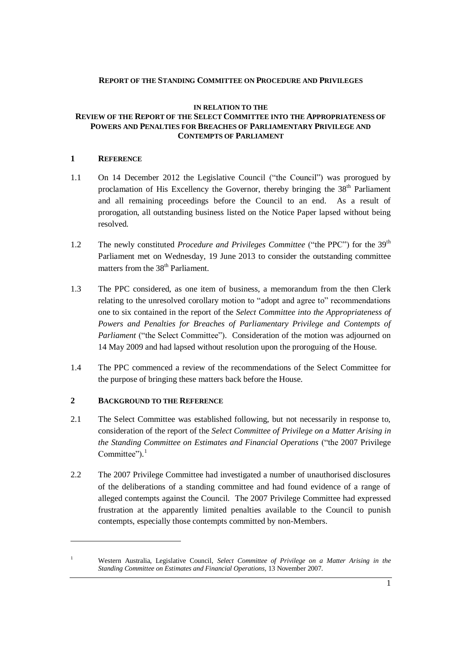#### **REPORT OF THE STANDING COMMITTEE ON PROCEDURE AND PRIVILEGES**

#### **IN RELATION TO THE REVIEW OF THE REPORT OF THE SELECT COMMITTEE INTO THE APPROPRIATENESS OF POWERS AND PENALTIES FOR BREACHES OF PARLIAMENTARY PRIVILEGE AND CONTEMPTS OF PARLIAMENT**

#### **1 REFERENCE**

- 1.1 On 14 December 2012 the Legislative Council ("the Council") was prorogued by proclamation of His Excellency the Governor, thereby bringing the  $38<sup>th</sup>$  Parliament and all remaining proceedings before the Council to an end. As a result of prorogation, all outstanding business listed on the Notice Paper lapsed without being resolved.
- 1.2 The newly constituted *Procedure and Privileges Committee* ("the PPC") for the 39th Parliament met on Wednesday, 19 June 2013 to consider the outstanding committee matters from the 38<sup>th</sup> Parliament.
- 1.3 The PPC considered, as one item of business, a memorandum from the then Clerk relating to the unresolved corollary motion to "adopt and agree to" recommendations one to six contained in the report of the *Select Committee into the Appropriateness of Powers and Penalties for Breaches of Parliamentary Privilege and Contempts of Parliament* ("the Select Committee"). Consideration of the motion was adjourned on 14 May 2009 and had lapsed without resolution upon the proroguing of the House.
- 1.4 The PPC commenced a review of the recommendations of the Select Committee for the purpose of bringing these matters back before the House.

### **2 BACKGROUND TO THE REFERENCE**

- 2.1 The Select Committee was established following, but not necessarily in response to, consideration of the report of the *Select Committee of Privilege on a Matter Arising in the Standing Committee on Estimates and Financial Operations* ("the 2007 Privilege Committee").<sup>1</sup>
- 2.2 The 2007 Privilege Committee had investigated a number of unauthorised disclosures of the deliberations of a standing committee and had found evidence of a range of alleged contempts against the Council. The 2007 Privilege Committee had expressed frustration at the apparently limited penalties available to the Council to punish contempts, especially those contempts committed by non-Members.

<sup>1</sup> Western Australia, Legislative Council, *Select Committee of Privilege on a Matter Arising in the Standing Committee on Estimates and Financial Operations*, 13 November 2007.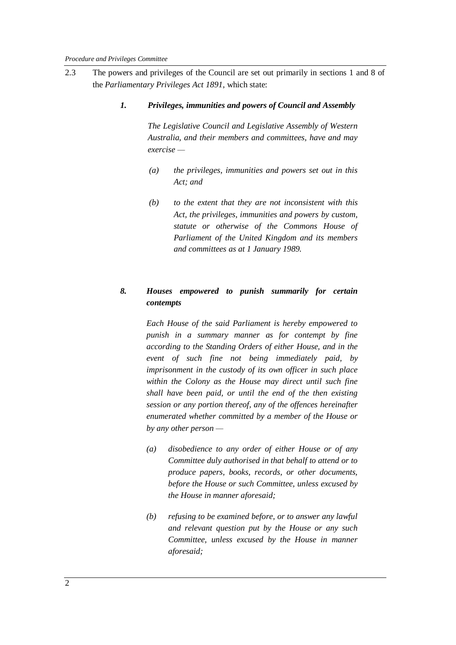2.3 The powers and privileges of the Council are set out primarily in sections 1 and 8 of the *Parliamentary Privileges Act 1891*, which state:

#### *1. Privileges, immunities and powers of Council and Assembly*

*The Legislative Council and Legislative Assembly of Western Australia, and their members and committees, have and may exercise —*

- *(a) the privileges, immunities and powers set out in this Act; and*
- *(b) to the extent that they are not inconsistent with this Act, the privileges, immunities and powers by custom, statute or otherwise of the Commons House of Parliament of the United Kingdom and its members and committees as at 1 January 1989.*

## *8. Houses empowered to punish summarily for certain contempts*

*Each House of the said Parliament is hereby empowered to punish in a summary manner as for contempt by fine according to the Standing Orders of either House, and in the event of such fine not being immediately paid, by imprisonment in the custody of its own officer in such place within the Colony as the House may direct until such fine shall have been paid, or until the end of the then existing session or any portion thereof, any of the offences hereinafter enumerated whether committed by a member of the House or by any other person —* 

- *(a) disobedience to any order of either House or of any Committee duly authorised in that behalf to attend or to produce papers, books, records, or other documents, before the House or such Committee, unless excused by the House in manner aforesaid;*
- *(b) refusing to be examined before, or to answer any lawful and relevant question put by the House or any such Committee, unless excused by the House in manner aforesaid;*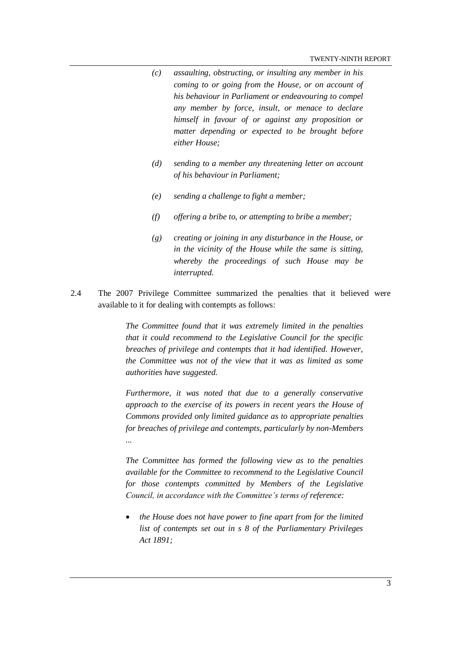- *(c) assaulting, obstructing, or insulting any member in his coming to or going from the House, or on account of his behaviour in Parliament or endeavouring to compel any member by force, insult, or menace to declare himself in favour of or against any proposition or matter depending or expected to be brought before either House;*
- *(d) sending to a member any threatening letter on account of his behaviour in Parliament;*
- *(e) sending a challenge to fight a member;*
- *(f) offering a bribe to, or attempting to bribe a member;*
- *(g) creating or joining in any disturbance in the House, or in the vicinity of the House while the same is sitting, whereby the proceedings of such House may be interrupted.*
- 2.4 The 2007 Privilege Committee summarized the penalties that it believed were available to it for dealing with contempts as follows:

*The Committee found that it was extremely limited in the penalties that it could recommend to the Legislative Council for the specific breaches of privilege and contempts that it had identified. However, the Committee was not of the view that it was as limited as some authorities have suggested.*

*Furthermore, it was noted that due to a generally conservative approach to the exercise of its powers in recent years the House of Commons provided only limited guidance as to appropriate penalties for breaches of privilege and contempts, particularly by non-Members ...*

*The Committee has formed the following view as to the penalties available for the Committee to recommend to the Legislative Council for those contempts committed by Members of the Legislative Council, in accordance with the Committee's terms of reference:*

 *the House does not have power to fine apart from for the limited list of contempts set out in s 8 of the Parliamentary Privileges Act 1891;*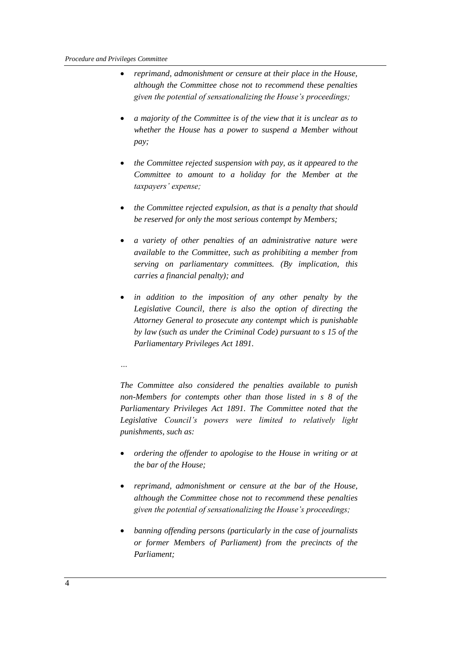- *reprimand, admonishment or censure at their place in the House, although the Committee chose not to recommend these penalties given the potential of sensationalizing the House's proceedings;*
- *a majority of the Committee is of the view that it is unclear as to whether the House has a power to suspend a Member without pay;*
- *the Committee rejected suspension with pay, as it appeared to the Committee to amount to a holiday for the Member at the taxpayers' expense;*
- *the Committee rejected expulsion, as that is a penalty that should be reserved for only the most serious contempt by Members;*
- *a variety of other penalties of an administrative nature were available to the Committee, such as prohibiting a member from serving on parliamentary committees. (By implication, this carries a financial penalty); and*
- *in addition to the imposition of any other penalty by the Legislative Council, there is also the option of directing the Attorney General to prosecute any contempt which is punishable by law (such as under the Criminal Code) pursuant to s 15 of the Parliamentary Privileges Act 1891.*

*…*

*The Committee also considered the penalties available to punish non-Members for contempts other than those listed in s 8 of the Parliamentary Privileges Act 1891. The Committee noted that the Legislative Council's powers were limited to relatively light punishments, such as:*

- *ordering the offender to apologise to the House in writing or at the bar of the House;*
- *reprimand, admonishment or censure at the bar of the House, although the Committee chose not to recommend these penalties given the potential of sensationalizing the House's proceedings;*
- *banning offending persons (particularly in the case of journalists or former Members of Parliament) from the precincts of the Parliament;*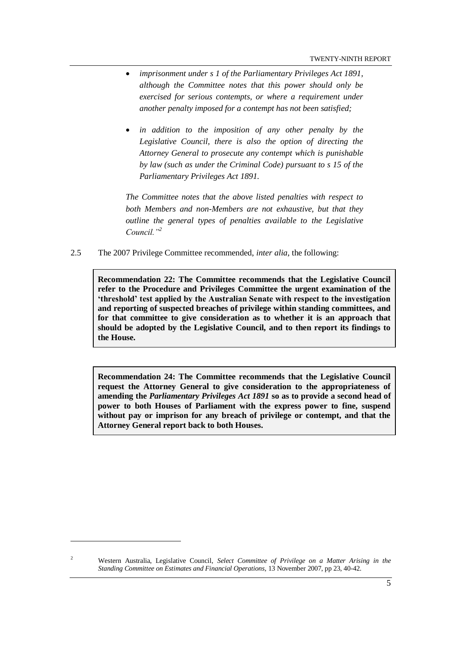- *imprisonment under s 1 of the Parliamentary Privileges Act 1891, although the Committee notes that this power should only be exercised for serious contempts, or where a requirement under another penalty imposed for a contempt has not been satisfied;*
- *in addition to the imposition of any other penalty by the Legislative Council, there is also the option of directing the Attorney General to prosecute any contempt which is punishable by law (such as under the Criminal Code) pursuant to s 15 of the Parliamentary Privileges Act 1891.*

*The Committee notes that the above listed penalties with respect to both Members and non-Members are not exhaustive, but that they outline the general types of penalties available to the Legislative Council."<sup>2</sup>*

2.5 The 2007 Privilege Committee recommended, *inter alia*, the following:

**Recommendation 22: The Committee recommends that the Legislative Council refer to the Procedure and Privileges Committee the urgent examination of the 'threshold' test applied by the Australian Senate with respect to the investigation and reporting of suspected breaches of privilege within standing committees, and for that committee to give consideration as to whether it is an approach that should be adopted by the Legislative Council, and to then report its findings to the House.**

**Recommendation 24: The Committee recommends that the Legislative Council request the Attorney General to give consideration to the appropriateness of amending the** *Parliamentary Privileges Act 1891* **so as to provide a second head of power to both Houses of Parliament with the express power to fine, suspend without pay or imprison for any breach of privilege or contempt, and that the Attorney General report back to both Houses.**

<sup>2</sup> Western Australia, Legislative Council, *Select Committee of Privilege on a Matter Arising in the Standing Committee on Estimates and Financial Operations*, 13 November 2007, pp 23, 40-42.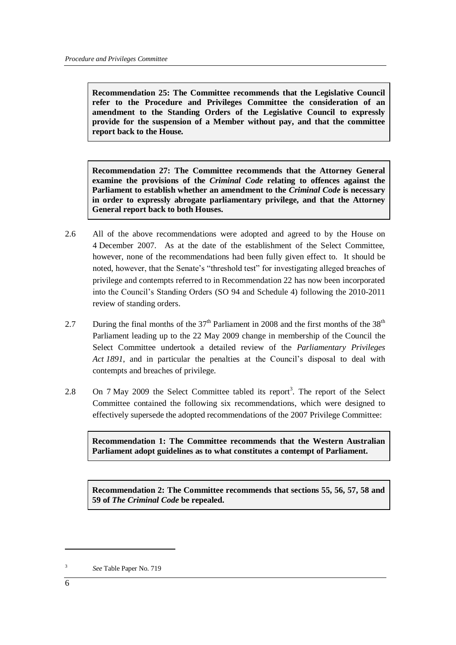**Recommendation 25: The Committee recommends that the Legislative Council refer to the Procedure and Privileges Committee the consideration of an amendment to the Standing Orders of the Legislative Council to expressly provide for the suspension of a Member without pay, and that the committee report back to the House***.*

**Recommendation 27: The Committee recommends that the Attorney General examine the provisions of the** *Criminal Code* **relating to offences against the Parliament to establish whether an amendment to the** *Criminal Code* **is necessary in order to expressly abrogate parliamentary privilege, and that the Attorney General report back to both Houses.**

- 2.6 All of the above recommendations were adopted and agreed to by the House on 4 December 2007. As at the date of the establishment of the Select Committee, however, none of the recommendations had been fully given effect to. It should be noted, however, that the Senate's "threshold test" for investigating alleged breaches of privilege and contempts referred to in Recommendation 22 has now been incorporated into the Council's Standing Orders (SO 94 and Schedule 4) following the 2010-2011 review of standing orders.
- 2.7 During the final months of the  $37<sup>th</sup>$  Parliament in 2008 and the first months of the  $38<sup>th</sup>$ Parliament leading up to the 22 May 2009 change in membership of the Council the Select Committee undertook a detailed review of the *Parliamentary Privileges Act 1891*, and in particular the penalties at the Council's disposal to deal with contempts and breaches of privilege.
- 2.8 On 7 May 2009 the Select Committee tabled its report<sup>3</sup>. The report of the Select Committee contained the following six recommendations, which were designed to effectively supersede the adopted recommendations of the 2007 Privilege Committee:

**Recommendation 1: The Committee recommends that the Western Australian Parliament adopt guidelines as to what constitutes a contempt of Parliament.**

**Recommendation 2: The Committee recommends that sections 55, 56, 57, 58 and 59 of** *The Criminal Code* **be repealed.**

<sup>3</sup> *See* Table Paper No. 719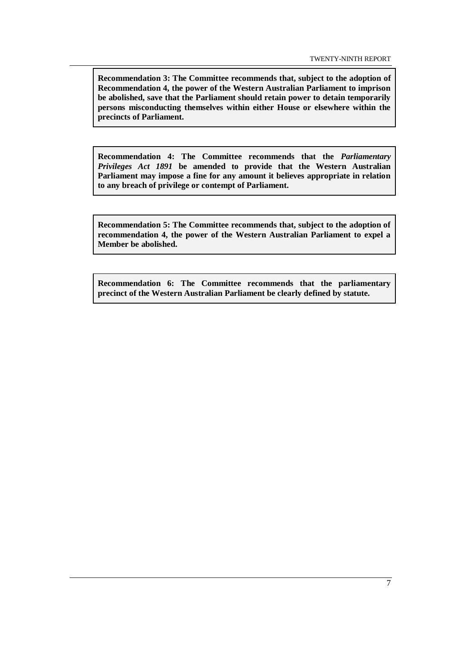**Recommendation 3: The Committee recommends that, subject to the adoption of Recommendation 4, the power of the Western Australian Parliament to imprison be abolished, save that the Parliament should retain power to detain temporarily persons misconducting themselves within either House or elsewhere within the precincts of Parliament.**

**Recommendation 4: The Committee recommends that the** *Parliamentary Privileges Act 1891* **be amended to provide that the Western Australian Parliament may impose a fine for any amount it believes appropriate in relation to any breach of privilege or contempt of Parliament.**

**Recommendation 5: The Committee recommends that, subject to the adoption of recommendation 4, the power of the Western Australian Parliament to expel a Member be abolished.**

**Recommendation 6: The Committee recommends that the parliamentary precinct of the Western Australian Parliament be clearly defined by statute.**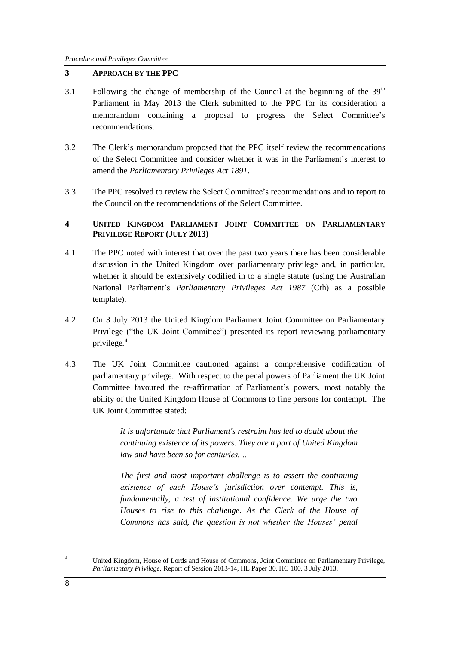#### **3 APPROACH BY THE PPC**

- 3.1 Following the change of membership of the Council at the beginning of the  $39<sup>th</sup>$ Parliament in May 2013 the Clerk submitted to the PPC for its consideration a memorandum containing a proposal to progress the Select Committee's recommendations.
- 3.2 The Clerk's memorandum proposed that the PPC itself review the recommendations of the Select Committee and consider whether it was in the Parliament's interest to amend the *Parliamentary Privileges Act 1891*.
- 3.3 The PPC resolved to review the Select Committee's recommendations and to report to the Council on the recommendations of the Select Committee.

#### **4 UNITED KINGDOM PARLIAMENT JOINT COMMITTEE ON PARLIAMENTARY PRIVILEGE REPORT (JULY 2013)**

- 4.1 The PPC noted with interest that over the past two years there has been considerable discussion in the United Kingdom over parliamentary privilege and, in particular, whether it should be extensively codified in to a single statute (using the Australian National Parliament's *Parliamentary Privileges Act 1987* (Cth) as a possible template).
- 4.2 On 3 July 2013 the United Kingdom Parliament Joint Committee on Parliamentary Privilege ("the UK Joint Committee") presented its report reviewing parliamentary privilege.<sup>4</sup>
- 4.3 The UK Joint Committee cautioned against a comprehensive codification of parliamentary privilege. With respect to the penal powers of Parliament the UK Joint Committee favoured the re-affirmation of Parliament's powers, most notably the ability of the United Kingdom House of Commons to fine persons for contempt. The UK Joint Committee stated:

*It is unfortunate that Parliament's restraint has led to doubt about the continuing existence of its powers. They are a part of United Kingdom law and have been so for centuries. …*

*The first and most important challenge is to assert the continuing existence of each House's jurisdiction over contempt. This is, fundamentally, a test of institutional confidence. We urge the two Houses to rise to this challenge. As the Clerk of the House of Commons has said, the question is not whether the Houses' penal* 

<sup>4</sup> United Kingdom, House of Lords and House of Commons, Joint Committee on Parliamentary Privilege, *Parliamentary Privilege*, Report of Session 2013-14, HL Paper 30, HC 100, 3 July 2013.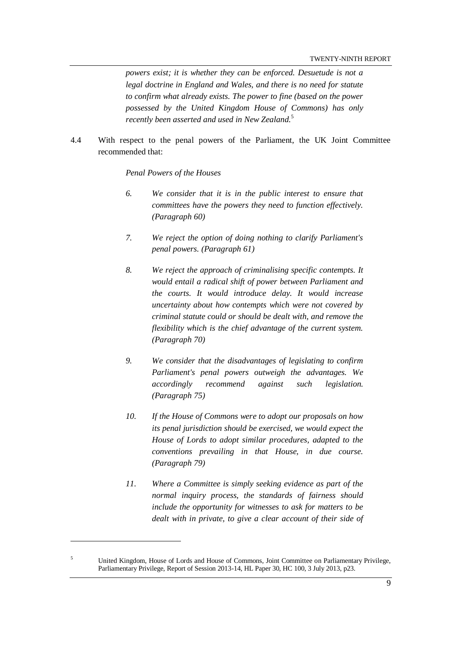*powers exist; it is whether they can be enforced. Desuetude is not a legal doctrine in England and Wales, and there is no need for statute to confirm what already exists. The power to fine (based on the power possessed by the United Kingdom House of Commons) has only recently been asserted and used in New Zealand.*<sup>5</sup>

4.4 With respect to the penal powers of the Parliament, the UK Joint Committee recommended that:

#### *Penal Powers of the Houses*

- *6. We consider that it is in the public interest to ensure that committees have the powers they need to function effectively. (Paragraph 60)*
- *7. We reject the option of doing nothing to clarify Parliament's penal powers. (Paragraph 61)*
- *8. We reject the approach of criminalising specific contempts. It would entail a radical shift of power between Parliament and the courts. It would introduce delay. It would increase uncertainty about how contempts which were not covered by criminal statute could or should be dealt with, and remove the flexibility which is the chief advantage of the current system. (Paragraph 70)*
- *9. We consider that the disadvantages of legislating to confirm Parliament's penal powers outweigh the advantages. We accordingly recommend against such legislation. (Paragraph 75)*
- *10. If the House of Commons were to adopt our proposals on how its penal jurisdiction should be exercised, we would expect the House of Lords to adopt similar procedures, adapted to the conventions prevailing in that House, in due course. (Paragraph 79)*
- *11. Where a Committee is simply seeking evidence as part of the normal inquiry process, the standards of fairness should include the opportunity for witnesses to ask for matters to be*  dealt with in private, to give a clear account of their side of

<sup>5</sup> United Kingdom, House of Lords and House of Commons, Joint Committee on Parliamentary Privilege, Parliamentary Privilege, Report of Session 2013-14, HL Paper 30, HC 100, 3 July 2013, p23.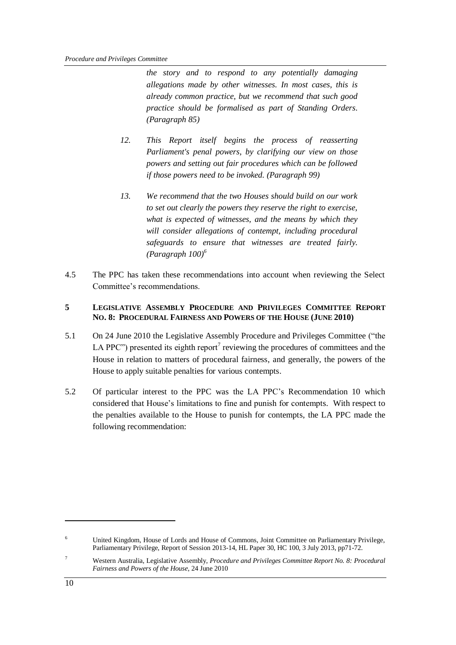*the story and to respond to any potentially damaging allegations made by other witnesses. In most cases, this is already common practice, but we recommend that such good practice should be formalised as part of Standing Orders. (Paragraph 85)* 

- *12. This Report itself begins the process of reasserting Parliament's penal powers, by clarifying our view on those powers and setting out fair procedures which can be followed if those powers need to be invoked. (Paragraph 99)*
- *13. We recommend that the two Houses should build on our work to set out clearly the powers they reserve the right to exercise, what is expected of witnesses, and the means by which they will consider allegations of contempt, including procedural safeguards to ensure that witnesses are treated fairly. (Paragraph 100)<sup>6</sup>*
- 4.5 The PPC has taken these recommendations into account when reviewing the Select Committee's recommendations.

#### **5 LEGISLATIVE ASSEMBLY PROCEDURE AND PRIVILEGES COMMITTEE REPORT NO. 8: PROCEDURAL FAIRNESS AND POWERS OF THE HOUSE (JUNE 2010)**

- 5.1 On 24 June 2010 the Legislative Assembly Procedure and Privileges Committee ("the LA PPC") presented its eighth report<sup>7</sup> reviewing the procedures of committees and the House in relation to matters of procedural fairness, and generally, the powers of the House to apply suitable penalties for various contempts.
- 5.2 Of particular interest to the PPC was the LA PPC's Recommendation 10 which considered that House's limitations to fine and punish for contempts. With respect to the penalties available to the House to punish for contempts, the LA PPC made the following recommendation:

1

United Kingdom, House of Lords and House of Commons, Joint Committee on Parliamentary Privilege, Parliamentary Privilege, Report of Session 2013-14, HL Paper 30, HC 100, 3 July 2013, pp71-72.

<sup>7</sup> Western Australia, Legislative Assembly, *Procedure and Privileges Committee Report No. 8: Procedural Fairness and Powers of the House*, 24 June 2010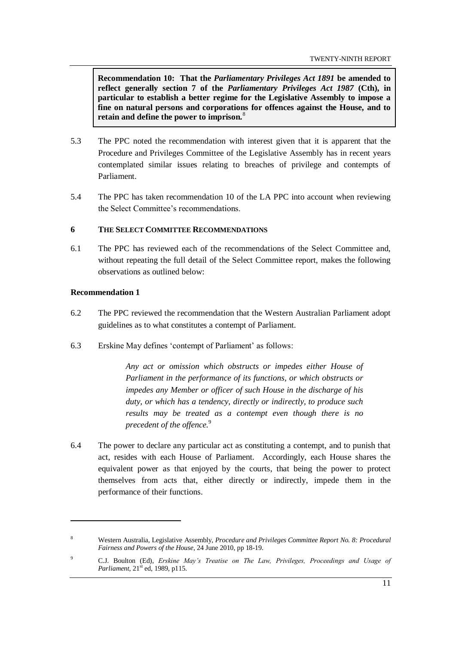**Recommendation 10: That the** *Parliamentary Privileges Act 1891* **be amended to reflect generally section 7 of the** *Parliamentary Privileges Act 1987* **(Cth), in particular to establish a better regime for the Legislative Assembly to impose a fine on natural persons and corporations for offences against the House, and to retain and define the power to imprison.**<sup>8</sup>

- 5.3 The PPC noted the recommendation with interest given that it is apparent that the Procedure and Privileges Committee of the Legislative Assembly has in recent years contemplated similar issues relating to breaches of privilege and contempts of Parliament.
- 5.4 The PPC has taken recommendation 10 of the LA PPC into account when reviewing the Select Committee's recommendations.

#### **6 THE SELECT COMMITTEE RECOMMENDATIONS**

6.1 The PPC has reviewed each of the recommendations of the Select Committee and, without repeating the full detail of the Select Committee report, makes the following observations as outlined below:

#### **Recommendation 1**

1

- 6.2 The PPC reviewed the recommendation that the Western Australian Parliament adopt guidelines as to what constitutes a contempt of Parliament.
- 6.3 Erskine May defines 'contempt of Parliament' as follows:

*Any act or omission which obstructs or impedes either House of Parliament in the performance of its functions, or which obstructs or impedes any Member or officer of such House in the discharge of his duty, or which has a tendency, directly or indirectly, to produce such results may be treated as a contempt even though there is no precedent of the offence.*<sup>9</sup>

6.4 The power to declare any particular act as constituting a contempt, and to punish that act, resides with each House of Parliament. Accordingly, each House shares the equivalent power as that enjoyed by the courts, that being the power to protect themselves from acts that, either directly or indirectly, impede them in the performance of their functions.

<sup>8</sup> Western Australia, Legislative Assembly, *Procedure and Privileges Committee Report No. 8: Procedural Fairness and Powers of the House*, 24 June 2010, pp 18-19.

<sup>9</sup> C.J. Boulton (Ed), *Erskine May's Treatise on The Law, Privileges, Proceedings and Usage of Parliament*,  $21<sup>st</sup>$  ed, 1989, p115.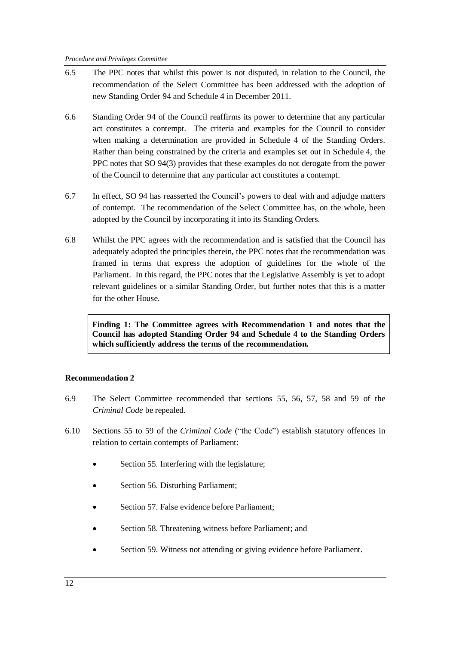- 6.5 The PPC notes that whilst this power is not disputed, in relation to the Council, the recommendation of the Select Committee has been addressed with the adoption of new Standing Order 94 and Schedule 4 in December 2011.
- 6.6 Standing Order 94 of the Council reaffirms its power to determine that any particular act constitutes a contempt. The criteria and examples for the Council to consider when making a determination are provided in Schedule 4 of the Standing Orders. Rather than being constrained by the criteria and examples set out in Schedule 4, the PPC notes that SO 94(3) provides that these examples do not derogate from the power of the Council to determine that any particular act constitutes a contempt.
- 6.7 In effect, SO 94 has reasserted the Council's powers to deal with and adjudge matters of contempt. The recommendation of the Select Committee has, on the whole, been adopted by the Council by incorporating it into its Standing Orders.
- 6.8 Whilst the PPC agrees with the recommendation and is satisfied that the Council has adequately adopted the principles therein, the PPC notes that the recommendation was framed in terms that express the adoption of guidelines for the whole of the Parliament. In this regard, the PPC notes that the Legislative Assembly is yet to adopt relevant guidelines or a similar Standing Order, but further notes that this is a matter for the other House.

**Finding 1: The Committee agrees with Recommendation 1 and notes that the Council has adopted Standing Order 94 and Schedule 4 to the Standing Orders which sufficiently address the terms of the recommendation.**

#### **Recommendation 2**

- 6.9 The Select Committee recommended that sections 55, 56, 57, 58 and 59 of the *Criminal Code* be repealed.
- 6.10 Sections 55 to 59 of the *Criminal Code* ("the Code") establish statutory offences in relation to certain contempts of Parliament:
	- Section 55. Interfering with the legislature;
	- Section 56. Disturbing Parliament;
	- Section 57. False evidence before Parliament;
	- Section 58. Threatening witness before Parliament; and
	- Section 59. Witness not attending or giving evidence before Parliament.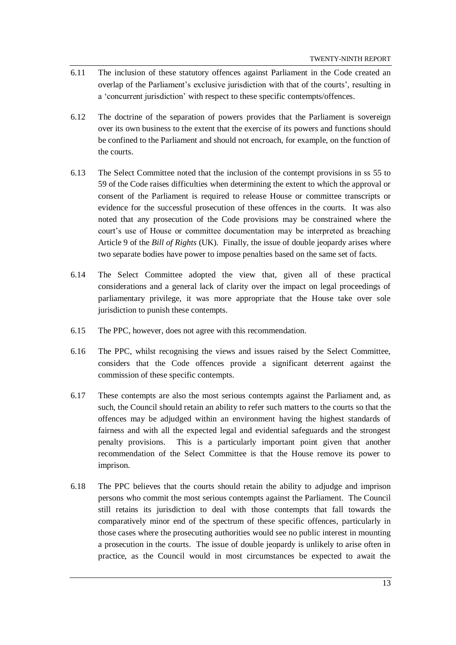- 6.11 The inclusion of these statutory offences against Parliament in the Code created an overlap of the Parliament's exclusive jurisdiction with that of the courts', resulting in a 'concurrent jurisdiction' with respect to these specific contempts/offences.
- 6.12 The doctrine of the separation of powers provides that the Parliament is sovereign over its own business to the extent that the exercise of its powers and functions should be confined to the Parliament and should not encroach, for example, on the function of the courts.
- 6.13 The Select Committee noted that the inclusion of the contempt provisions in ss 55 to 59 of the Code raises difficulties when determining the extent to which the approval or consent of the Parliament is required to release House or committee transcripts or evidence for the successful prosecution of these offences in the courts. It was also noted that any prosecution of the Code provisions may be constrained where the court's use of House or committee documentation may be interpreted as breaching Article 9 of the *Bill of Rights* (UK). Finally, the issue of double jeopardy arises where two separate bodies have power to impose penalties based on the same set of facts.
- 6.14 The Select Committee adopted the view that, given all of these practical considerations and a general lack of clarity over the impact on legal proceedings of parliamentary privilege, it was more appropriate that the House take over sole jurisdiction to punish these contempts.
- 6.15 The PPC, however, does not agree with this recommendation.
- 6.16 The PPC, whilst recognising the views and issues raised by the Select Committee, considers that the Code offences provide a significant deterrent against the commission of these specific contempts.
- 6.17 These contempts are also the most serious contempts against the Parliament and, as such, the Council should retain an ability to refer such matters to the courts so that the offences may be adjudged within an environment having the highest standards of fairness and with all the expected legal and evidential safeguards and the strongest penalty provisions. This is a particularly important point given that another recommendation of the Select Committee is that the House remove its power to imprison.
- 6.18 The PPC believes that the courts should retain the ability to adjudge and imprison persons who commit the most serious contempts against the Parliament. The Council still retains its jurisdiction to deal with those contempts that fall towards the comparatively minor end of the spectrum of these specific offences, particularly in those cases where the prosecuting authorities would see no public interest in mounting a prosecution in the courts. The issue of double jeopardy is unlikely to arise often in practice, as the Council would in most circumstances be expected to await the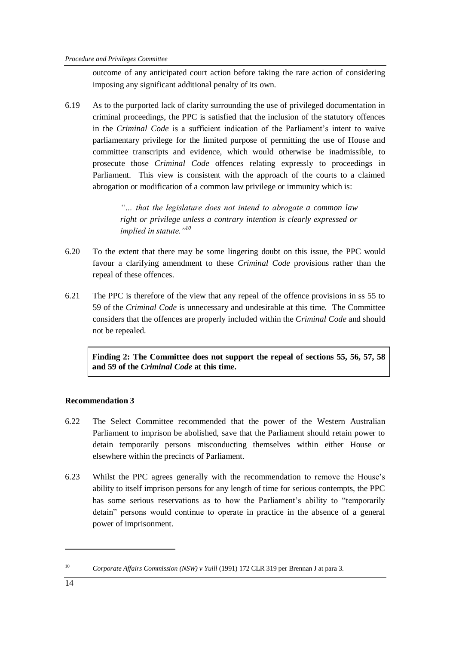outcome of any anticipated court action before taking the rare action of considering imposing any significant additional penalty of its own.

6.19 As to the purported lack of clarity surrounding the use of privileged documentation in criminal proceedings, the PPC is satisfied that the inclusion of the statutory offences in the *Criminal Code* is a sufficient indication of the Parliament's intent to waive parliamentary privilege for the limited purpose of permitting the use of House and committee transcripts and evidence, which would otherwise be inadmissible, to prosecute those *Criminal Code* offences relating expressly to proceedings in Parliament. This view is consistent with the approach of the courts to a claimed abrogation or modification of a common law privilege or immunity which is:

> *"… that the legislature does not intend to abrogate a common law right or privilege unless a contrary intention is clearly expressed or implied in statute."<sup>10</sup>*

- 6.20 To the extent that there may be some lingering doubt on this issue, the PPC would favour a clarifying amendment to these *Criminal Code* provisions rather than the repeal of these offences.
- 6.21 The PPC is therefore of the view that any repeal of the offence provisions in ss 55 to 59 of the *Criminal Code* is unnecessary and undesirable at this time. The Committee considers that the offences are properly included within the *Criminal Code* and should not be repealed.

**Finding 2: The Committee does not support the repeal of sections 55, 56, 57, 58 and 59 of the** *Criminal Code* **at this time.**

### **Recommendation 3**

- 6.22 The Select Committee recommended that the power of the Western Australian Parliament to imprison be abolished, save that the Parliament should retain power to detain temporarily persons misconducting themselves within either House or elsewhere within the precincts of Parliament.
- 6.23 Whilst the PPC agrees generally with the recommendation to remove the House's ability to itself imprison persons for any length of time for serious contempts, the PPC has some serious reservations as to how the Parliament's ability to "temporarily detain" persons would continue to operate in practice in the absence of a general power of imprisonment.

<sup>&</sup>lt;sup>10</sup> *Corporate Affairs Commission (NSW) v Yuill* (1991) 172 CLR 319 per Brennan J at para 3.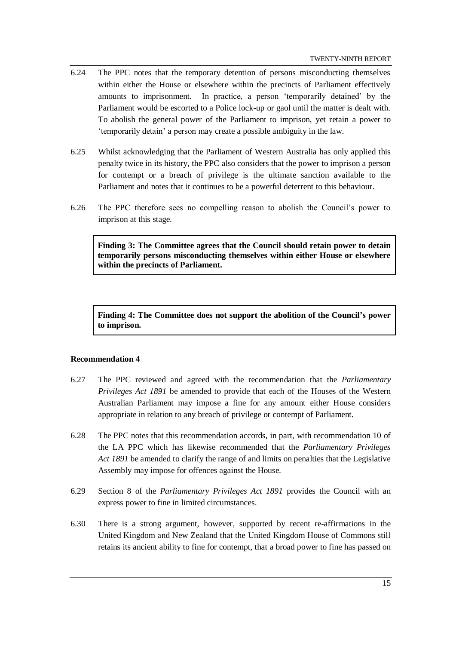- 6.24 The PPC notes that the temporary detention of persons misconducting themselves within either the House or elsewhere within the precincts of Parliament effectively amounts to imprisonment. In practice, a person 'temporarily detained' by the Parliament would be escorted to a Police lock-up or gaol until the matter is dealt with. To abolish the general power of the Parliament to imprison, yet retain a power to 'temporarily detain' a person may create a possible ambiguity in the law.
- 6.25 Whilst acknowledging that the Parliament of Western Australia has only applied this penalty twice in its history, the PPC also considers that the power to imprison a person for contempt or a breach of privilege is the ultimate sanction available to the Parliament and notes that it continues to be a powerful deterrent to this behaviour.
- 6.26 The PPC therefore sees no compelling reason to abolish the Council's power to imprison at this stage.

**Finding 3: The Committee agrees that the Council should retain power to detain temporarily persons misconducting themselves within either House or elsewhere within the precincts of Parliament.**

**Finding 4: The Committee does not support the abolition of the Council's power to imprison.**

#### **Recommendation 4**

- 6.27 The PPC reviewed and agreed with the recommendation that the *Parliamentary Privileges Act 1891* be amended to provide that each of the Houses of the Western Australian Parliament may impose a fine for any amount either House considers appropriate in relation to any breach of privilege or contempt of Parliament.
- 6.28 The PPC notes that this recommendation accords, in part, with recommendation 10 of the LA PPC which has likewise recommended that the *Parliamentary Privileges Act 1891* be amended to clarify the range of and limits on penalties that the Legislative Assembly may impose for offences against the House.
- 6.29 Section 8 of the *Parliamentary Privileges Act 1891* provides the Council with an express power to fine in limited circumstances.
- 6.30 There is a strong argument, however, supported by recent re-affirmations in the United Kingdom and New Zealand that the United Kingdom House of Commons still retains its ancient ability to fine for contempt, that a broad power to fine has passed on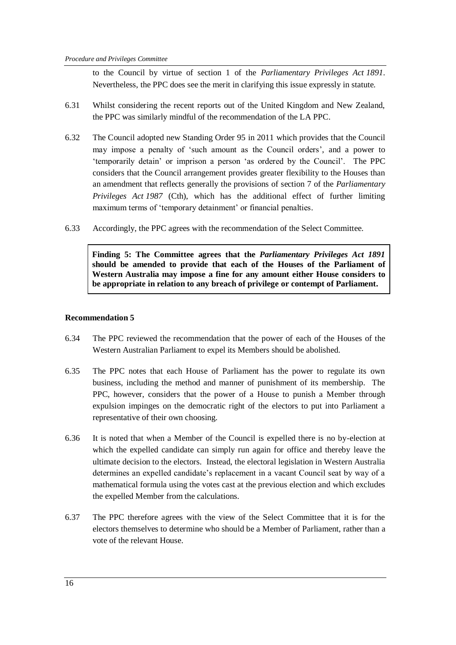to the Council by virtue of section 1 of the *Parliamentary Privileges Act 1891*. Nevertheless, the PPC does see the merit in clarifying this issue expressly in statute.

- 6.31 Whilst considering the recent reports out of the United Kingdom and New Zealand, the PPC was similarly mindful of the recommendation of the LA PPC.
- 6.32 The Council adopted new Standing Order 95 in 2011 which provides that the Council may impose a penalty of 'such amount as the Council orders', and a power to 'temporarily detain' or imprison a person 'as ordered by the Council'. The PPC considers that the Council arrangement provides greater flexibility to the Houses than an amendment that reflects generally the provisions of section 7 of the *Parliamentary Privileges Act 1987* (Cth), which has the additional effect of further limiting maximum terms of 'temporary detainment' or financial penalties.
- 6.33 Accordingly, the PPC agrees with the recommendation of the Select Committee.

**Finding 5: The Committee agrees that the** *Parliamentary Privileges Act 1891* **should be amended to provide that each of the Houses of the Parliament of Western Australia may impose a fine for any amount either House considers to be appropriate in relation to any breach of privilege or contempt of Parliament.**

#### **Recommendation 5**

- 6.34 The PPC reviewed the recommendation that the power of each of the Houses of the Western Australian Parliament to expel its Members should be abolished.
- 6.35 The PPC notes that each House of Parliament has the power to regulate its own business, including the method and manner of punishment of its membership. The PPC, however, considers that the power of a House to punish a Member through expulsion impinges on the democratic right of the electors to put into Parliament a representative of their own choosing.
- 6.36 It is noted that when a Member of the Council is expelled there is no by-election at which the expelled candidate can simply run again for office and thereby leave the ultimate decision to the electors. Instead, the electoral legislation in Western Australia determines an expelled candidate's replacement in a vacant Council seat by way of a mathematical formula using the votes cast at the previous election and which excludes the expelled Member from the calculations.
- 6.37 The PPC therefore agrees with the view of the Select Committee that it is for the electors themselves to determine who should be a Member of Parliament, rather than a vote of the relevant House.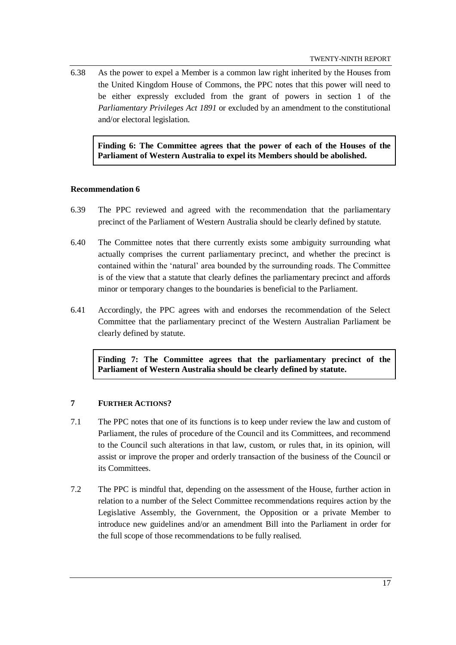6.38 As the power to expel a Member is a common law right inherited by the Houses from the United Kingdom House of Commons, the PPC notes that this power will need to be either expressly excluded from the grant of powers in section 1 of the *Parliamentary Privileges Act 1891* or excluded by an amendment to the constitutional and/or electoral legislation.

**Finding 6: The Committee agrees that the power of each of the Houses of the Parliament of Western Australia to expel its Members should be abolished.**

#### **Recommendation 6**

- 6.39 The PPC reviewed and agreed with the recommendation that the parliamentary precinct of the Parliament of Western Australia should be clearly defined by statute.
- 6.40 The Committee notes that there currently exists some ambiguity surrounding what actually comprises the current parliamentary precinct, and whether the precinct is contained within the 'natural' area bounded by the surrounding roads. The Committee is of the view that a statute that clearly defines the parliamentary precinct and affords minor or temporary changes to the boundaries is beneficial to the Parliament.
- 6.41 Accordingly, the PPC agrees with and endorses the recommendation of the Select Committee that the parliamentary precinct of the Western Australian Parliament be clearly defined by statute.

**Finding 7: The Committee agrees that the parliamentary precinct of the Parliament of Western Australia should be clearly defined by statute.**

#### **7 FURTHER ACTIONS?**

- 7.1 The PPC notes that one of its functions is to keep under review the law and custom of Parliament, the rules of procedure of the Council and its Committees, and recommend to the Council such alterations in that law, custom, or rules that, in its opinion, will assist or improve the proper and orderly transaction of the business of the Council or its Committees.
- 7.2 The PPC is mindful that, depending on the assessment of the House, further action in relation to a number of the Select Committee recommendations requires action by the Legislative Assembly, the Government, the Opposition or a private Member to introduce new guidelines and/or an amendment Bill into the Parliament in order for the full scope of those recommendations to be fully realised.